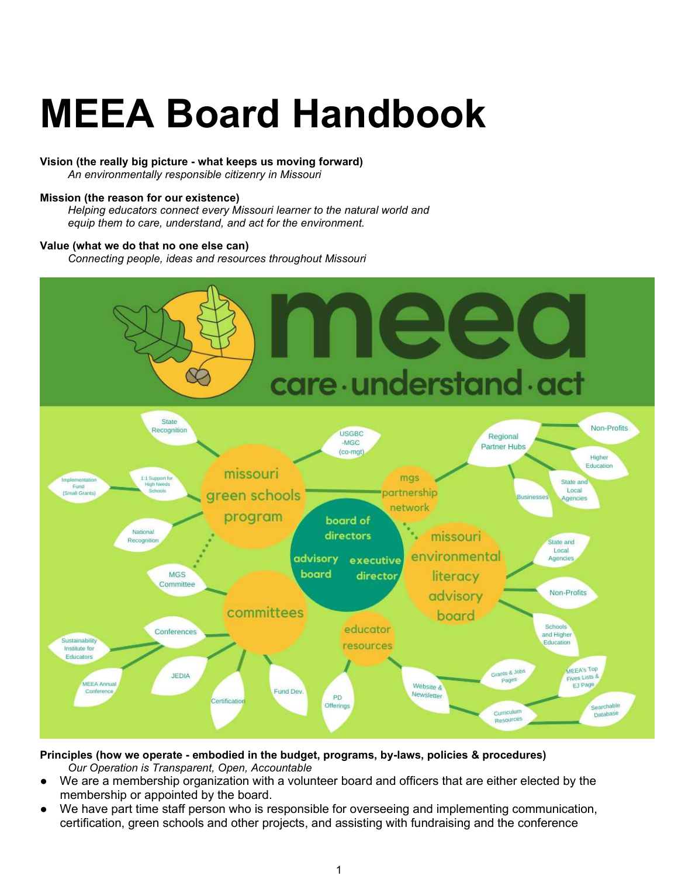# MEEA Board Handbook

### Vision (the really big picture - what keeps us moving forward)

An environmentally responsible citizenry in Missouri

### Mission (the reason for our existence)

Helping educators connect every Missouri learner to the natural world and equip them to care, understand, and act for the environment.

#### Value (what we do that no one else can)

Connecting people, ideas and resources throughout Missouri



Principles (how we operate - embodied in the budget, programs, by-laws, policies & procedures) Our Operation is Transparent, Open, Accountable

- We are a membership organization with a volunteer board and officers that are either elected by the membership or appointed by the board.
- We have part time staff person who is responsible for overseeing and implementing communication, certification, green schools and other projects, and assisting with fundraising and the conference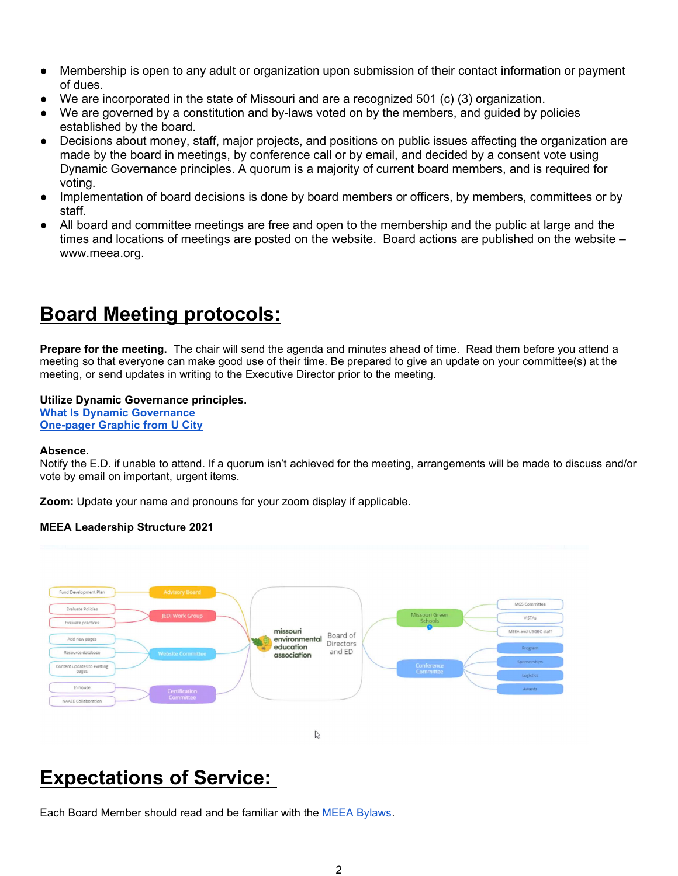- Membership is open to any adult or organization upon submission of their contact information or payment of dues.
- $\bullet$  We are incorporated in the state of Missouri and are a recognized 501 (c) (3) organization.
- We are governed by a constitution and by-laws voted on by the members, and guided by policies established by the board.
- Decisions about money, staff, major projects, and positions on public issues affecting the organization are made by the board in meetings, by conference call or by email, and decided by a consent vote using Dynamic Governance principles. A quorum is a majority of current board members, and is required for voting.
- Implementation of board decisions is done by board members or officers, by members, committees or by staff.
- All board and committee meetings are free and open to the membership and the public at large and the times and locations of meetings are posted on the website. Board actions are published on the website – www.meea.org.

## Board Meeting protocols:

Prepare for the meeting. The chair will send the agenda and minutes ahead of time. Read them before you attend a meeting so that everyone can make good use of their time. Be prepared to give an update on your committee(s) at the meeting, or send updates in writing to the Executive Director prior to the meeting.

### Utilize Dynamic Governance principles.

What Is Dynamic Governance One-pager Graphic from U City

#### Absence.

Notify the E.D. if unable to attend. If a quorum isn't achieved for the meeting, arrangements will be made to discuss and/or vote by email on important, urgent items.

Zoom: Update your name and pronouns for your zoom display if applicable.

### MEEA Leadership Structure 2021



 $\mathbb{Z}$ 

# Expectations of Service:

Each Board Member should read and be familiar with the MEEA Bylaws.